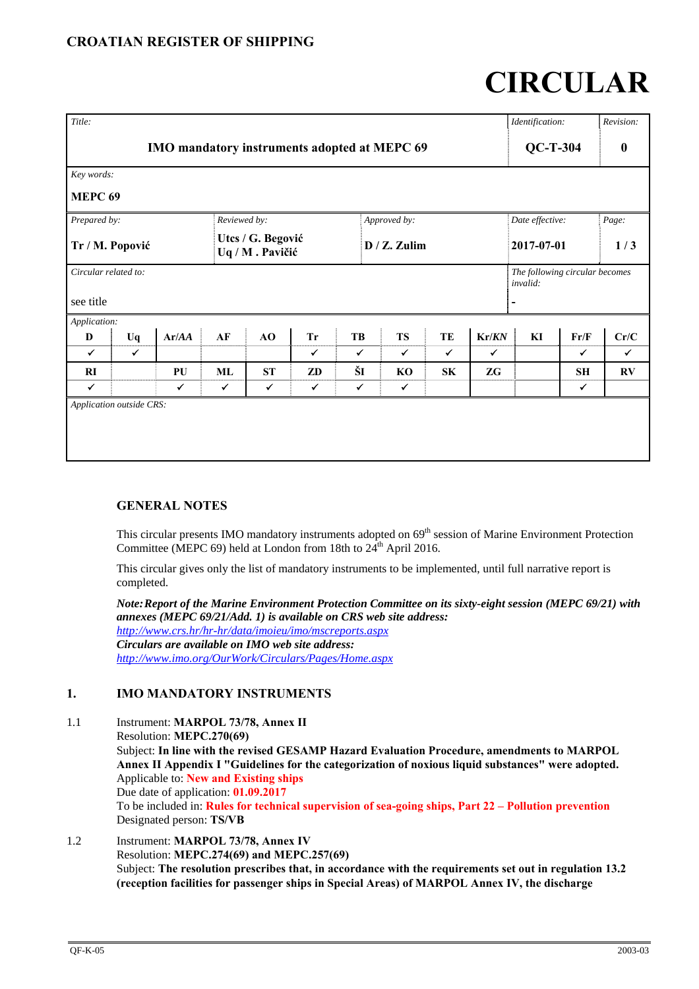# **CIRCULAR**

| Title:                                       |              |              |              |                                      |              |              |                 |              |                 | Identification:                            |                  | Revision:    |
|----------------------------------------------|--------------|--------------|--------------|--------------------------------------|--------------|--------------|-----------------|--------------|-----------------|--------------------------------------------|------------------|--------------|
| IMO mandatory instruments adopted at MEPC 69 |              |              |              |                                      |              |              |                 |              | $QC-T-304$      |                                            | $\boldsymbol{0}$ |              |
| Key words:                                   |              |              |              |                                      |              |              |                 |              |                 |                                            |                  |              |
| MEPC <sub>69</sub>                           |              |              |              |                                      |              |              |                 |              |                 |                                            |                  |              |
| Prepared by:                                 |              |              | Reviewed by: |                                      |              |              | Approved by:    |              | Date effective: |                                            | Page:            |              |
| Tr / M. Popović                              |              |              |              | Utcs / G. Begović<br>Uq / M. Pavičić |              |              | $D / Z$ . Zulim |              | 2017-07-01      |                                            | 1/3              |              |
| Circular related to:                         |              |              |              |                                      |              |              |                 |              |                 | The following circular becomes<br>invalid: |                  |              |
| see title                                    |              |              |              |                                      |              |              |                 |              |                 |                                            |                  |              |
| Application:                                 |              |              |              |                                      |              |              |                 |              |                 |                                            |                  |              |
| D                                            | Uq           | Ar/AA        | AF           | AO                                   | <b>Tr</b>    | TB           | <b>TS</b>       | TE           | Kr/KN           | KI                                         | Fr/F             | Cr/C         |
| $\checkmark$                                 | $\checkmark$ |              |              |                                      | $\checkmark$ | $\checkmark$ | $\checkmark$    | $\checkmark$ | $\checkmark$    |                                            | $\checkmark$     | $\checkmark$ |
| RI                                           |              | PU           | ML           | <b>ST</b>                            | ZD           | ŠI           | KO              | SK           | ZG              |                                            | SH               | RV           |
| $\checkmark$                                 |              | $\checkmark$ | $\checkmark$ | ✓                                    | $\checkmark$ | $\checkmark$ | $\checkmark$    |              |                 |                                            | ✓                |              |
| Application outside CRS:                     |              |              |              |                                      |              |              |                 |              |                 |                                            |                  |              |

# **GENERAL NOTES**

This circular presents IMO mandatory instruments adopted on 69<sup>th</sup> session of Marine Environment Protection Committee (MEPC 69) held at London from 18th to  $24^{th}$  April 2016.

This circular gives only the list of mandatory instruments to be implemented, until full narrative report is completed.

*Note: Report of the Marine Environment Protection Committee on its sixty-eight session (MEPC 69/21) with annexes (MEPC 69/21/Add. 1) is available on CRS web site address: http://www.crs.hr/hr-hr/data/imoieu/imo/mscreports.aspx Circulars are available on IMO web site address: http://www.imo.org/OurWork/Circulars/Pages/Home.aspx*

# **1. IMO MANDATORY INSTRUMENTS**

1.1 Instrument: **MARPOL 73/78, Annex II** Resolution: **MEPC.270(69)**  Subject: **In line with the revised GESAMP Hazard Evaluation Procedure, amendments to MARPOL Annex II Appendix I "Guidelines for the categorization of noxious liquid substances" were adopted.**  Applicable to: **New and Existing ships** Due date of application: **01.09.2017** To be included in: **Rules for technical supervision of sea-going ships, Part 22 – Pollution prevention** Designated person: **TS/VB** 

1.2 Instrument: **MARPOL 73/78, Annex IV** Resolution: **MEPC.274(69) and MEPC.257(69)**  Subject: **The resolution prescribes that, in accordance with the requirements set out in regulation 13.2 (reception facilities for passenger ships in Special Areas) of MARPOL Annex IV, the discharge**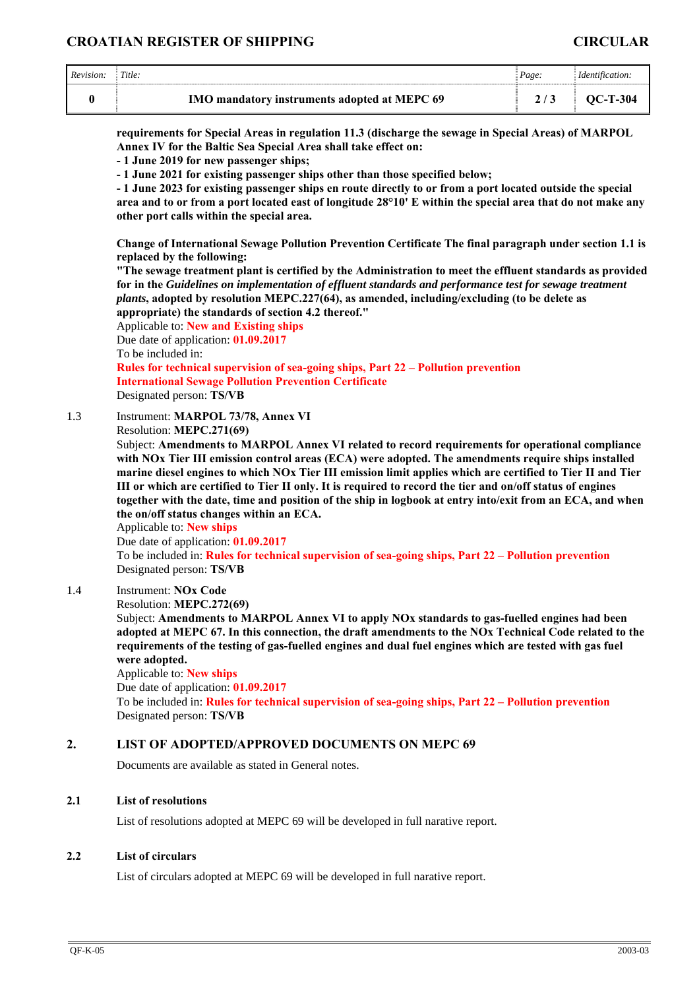# **CROATIAN REGISTER OF SHIPPING CIRCULAR**

| Revision: | Title:                                              | Page: |            |
|-----------|-----------------------------------------------------|-------|------------|
|           | <b>IMO mandatory instruments adopted at MEPC 69</b> |       | $OC-T-304$ |

**requirements for Special Areas in regulation 11.3 (discharge the sewage in Special Areas) of MARPOL Annex IV for the Baltic Sea Special Area shall take effect on:** 

**- 1 June 2019 for new passenger ships;** 

**- 1 June 2021 for existing passenger ships other than those specified below;** 

**- 1 June 2023 for existing passenger ships en route directly to or from a port located outside the special area and to or from a port located east of longitude 28°10' E within the special area that do not make any other port calls within the special area.** 

**Change of International Sewage Pollution Prevention Certificate The final paragraph under section 1.1 is replaced by the following:** 

**"The sewage treatment plant is certified by the Administration to meet the effluent standards as provided for in the** *Guidelines on implementation of effluent standards and performance test for sewage treatment plants***, adopted by resolution MEPC.227(64), as amended, including/excluding (to be delete as appropriate) the standards of section 4.2 thereof."** 

Applicable to: **New and Existing ships** Due date of application: **01.09.2017** To be included in:

**Rules for technical supervision of sea-going ships, Part 22 – Pollution prevention International Sewage Pollution Prevention Certificate**  Designated person: **TS/VB** 

1.3 Instrument: **MARPOL 73/78, Annex VI**

Resolution: **MEPC.271(69)** 

Subject: **Amendments to MARPOL Annex VI related to record requirements for operational compliance with NOx Tier III emission control areas (ECA) were adopted. The amendments require ships installed marine diesel engines to which NOx Tier III emission limit applies which are certified to Tier II and Tier III or which are certified to Tier II only. It is required to record the tier and on/off status of engines together with the date, time and position of the ship in logbook at entry into/exit from an ECA, and when the on/off status changes within an ECA.** 

Applicable to: **New ships**

Due date of application: **01.09.2017**

To be included in: **Rules for technical supervision of sea-going ships, Part 22 – Pollution prevention** Designated person: **TS/VB** 

# 1.4 Instrument: **NOx Code**

Resolution: **MEPC.272(69)** 

Subject: **Amendments to MARPOL Annex VI to apply NOx standards to gas-fuelled engines had been adopted at MEPC 67. In this connection, the draft amendments to the NOx Technical Code related to the requirements of the testing of gas-fuelled engines and dual fuel engines which are tested with gas fuel were adopted.** 

Applicable to: **New ships**

Due date of application: **01.09.2017**

To be included in: **Rules for technical supervision of sea-going ships, Part 22 – Pollution prevention** Designated person: **TS/VB** 

#### **2. LIST OF ADOPTED/APPROVED DOCUMENTS ON MEPC 69**

Documents are available as stated in General notes.

#### **2.1 List of resolutions**

List of resolutions adopted at MEPC 69 will be developed in full narative report.

#### **2.2 List of circulars**

List of circulars adopted at MEPC 69 will be developed in full narative report.